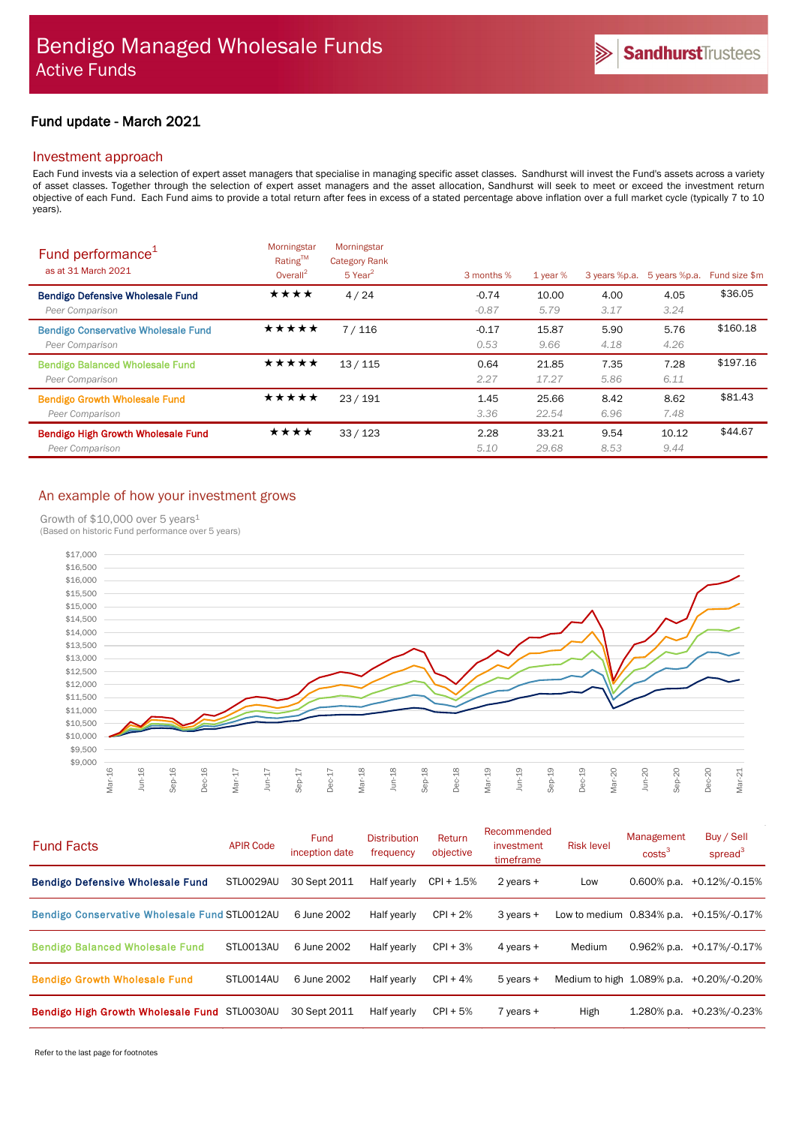# Fund update - March 2021

## Investment approach

Each Fund invests via a selection of expert asset managers that specialise in managing specific asset classes. Sandhurst will invest the Fund's assets across a variety of asset classes. Together through the selection of expert asset managers and the asset allocation, Sandhurst will seek to meet or exceed the investment return objective of each Fund. Each Fund aims to provide a total return after fees in excess of a stated percentage above inflation over a full market cycle (typically 7 to 10 years).

| Fund performance <sup>1</sup><br>as at 31 March 2021          | Morningstar<br>Rating™<br>Overall <sup>2</sup> | Morningstar<br><b>Category Rank</b><br>$5$ Year <sup>2</sup> | 3 months %         | $1$ year $%$   | 3 years %p.a. | 5 years %p.a. | Fund size \$m |
|---------------------------------------------------------------|------------------------------------------------|--------------------------------------------------------------|--------------------|----------------|---------------|---------------|---------------|
| <b>Bendigo Defensive Wholesale Fund</b><br>Peer Comparison    | ★★★★                                           | 4/24                                                         | $-0.74$<br>$-0.87$ | 10.00<br>5.79  | 4.00<br>3.17  | 4.05<br>3.24  | \$36.05       |
| <b>Bendigo Conservative Wholesale Fund</b><br>Peer Comparison | *****                                          | 7/116                                                        | $-0.17$<br>0.53    | 15.87<br>9.66  | 5.90<br>4.18  | 5.76<br>4.26  | \$160.18      |
| <b>Bendigo Balanced Wholesale Fund</b><br>Peer Comparison     | ★★★★★                                          | 13/115                                                       | 0.64<br>2.27       | 21.85<br>17.27 | 7.35<br>5.86  | 7.28<br>6.11  | \$197.16      |
| <b>Bendigo Growth Wholesale Fund</b><br>Peer Comparison       | ★★★★★                                          | 23/191                                                       | 1.45<br>3.36       | 25.66<br>22.54 | 8.42<br>6.96  | 8.62<br>7.48  | \$81.43       |
| <b>Bendigo High Growth Wholesale Fund</b><br>Peer Comparison  | ★★★★                                           | 33/123                                                       | 2.28<br>5.10       | 33.21<br>29.68 | 9.54<br>8.53  | 10.12<br>9.44 | \$44.67       |

# An example of how your investment grows

Growth of \$10,000 over 5 years<sup>1</sup>

(Based on historic Fund performance over 5 years)



| <b>Fund Facts</b>                                    | <b>APIR Code</b> | Fund<br>inception date | <b>Distribution</b><br>frequency | Return<br>objective | Recommended<br>investment<br>timeframe | <b>Risk level</b>          | Management<br>costs <sup>3</sup> | Buy / Sell<br>spread $3$ |
|------------------------------------------------------|------------------|------------------------|----------------------------------|---------------------|----------------------------------------|----------------------------|----------------------------------|--------------------------|
| <b>Bendigo Defensive Wholesale Fund</b>              | STL0029AU        | 30 Sept 2011           | Half yearly                      | $CPI + 1.5%$        | 2 years $+$                            | Low                        | $0.600\%$ p.a.                   | $+0.12\%/0.15\%$         |
| <b>Bendigo Conservative Wholesale Fund STL0012AU</b> |                  | 6 June 2002            | Half yearly                      | $CPI + 2%$          | $3$ years $+$                          | Low to medium 0.834% p.a.  |                                  | +0.15%/-0.17%            |
| <b>Bendigo Balanced Wholesale Fund</b>               | STL0013AU        | 6 June 2002            | Half yearly                      | $CPI + 3%$          | 4 years $+$                            | Medium                     | $0.962%$ p.a.                    | +0.17%/-0.17%            |
| <b>Bendigo Growth Wholesale Fund</b>                 | STLO014AU        | 6 June 2002            | Half yearly                      | $CPI + 4%$          | $5$ years $+$                          | Medium to high 1.089% p.a. |                                  | +0.20%/-0.20%            |
| Bendigo High Growth Wholesale Fund STL0030AU         |                  | 30 Sept 2011           | Half yearly                      | $CPI + 5%$          | 7 years +                              | High                       | $1.280\%$ p.a.                   | +0.23%/-0.23%            |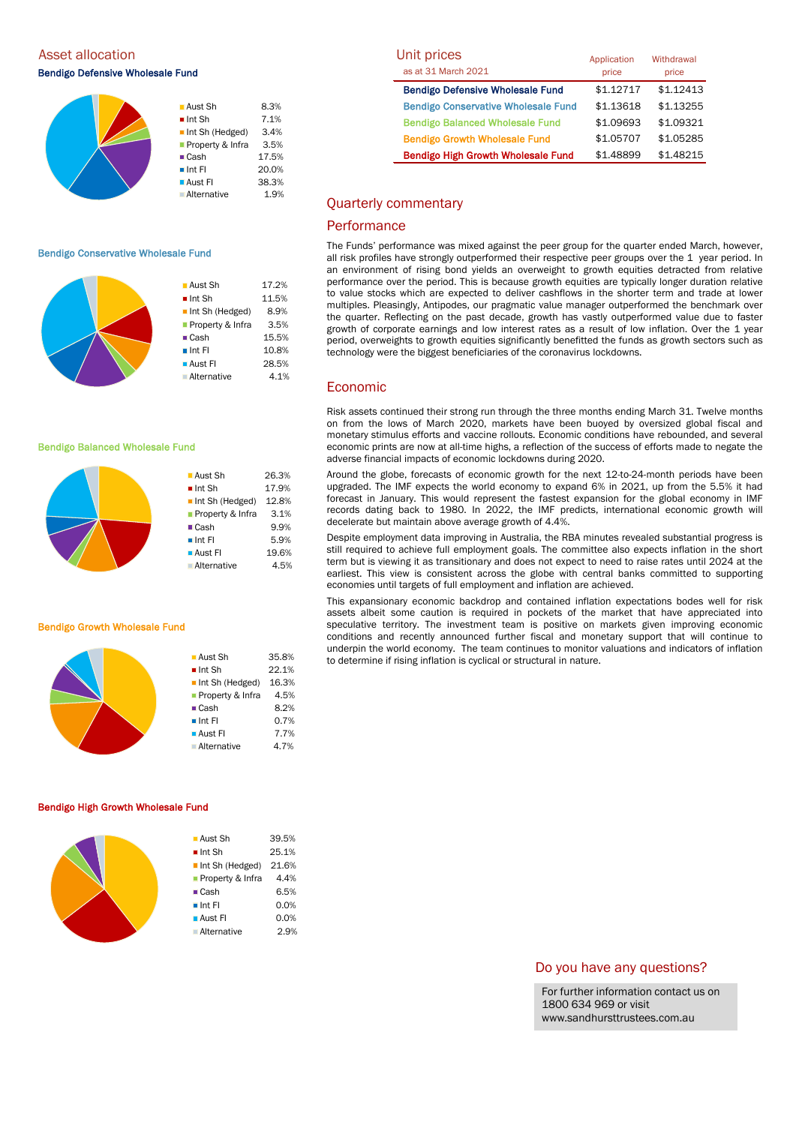Asset allocation

Bendigo Defensive Wholesale Fund

|  | ■ Aust Sh                      | 8.3%  |
|--|--------------------------------|-------|
|  | $\blacksquare$ Int Sh          | 7.1%  |
|  | $\blacksquare$ Int Sh (Hedged) | 3.4%  |
|  | Property & Infra               | 3.5%  |
|  | $\blacksquare$ Cash            | 17.5% |
|  | $\blacksquare$ Int Fl          | 20.0% |
|  | $\blacksquare$ Aust FI         | 38.3% |
|  | <b>Alternative</b>             | 1.9%  |
|  |                                |       |

#### Bendigo Conservative Wholesale Fund



**Aust Sh** 26.3% ■ Int Sh 17.9% Int Sh (Hedged) 12.8% **Property & Infra** 3.1% ■ Cash 9.9% ■ Int FI 5.9% **Aust FI** 19.6% Alternative 4.5%

#### Bendigo Balanced Wholesale Fund

#### Bendigo Growth Wholesale Fund

| ■ Aust Sh                      | 35.8% |
|--------------------------------|-------|
| $\blacksquare$ Int Sh          | 22.1% |
| $\blacksquare$ Int Sh (Hedged) | 16.3% |
| <b>Property &amp; Infra</b>    | 4.5%  |
| $\blacksquare$ Cash            | 8.2%  |
| $\blacksquare$ Int Fl          | 0.7%  |
| $\blacksquare$ Aust FI         | 7.7%  |
| Alternative                    | 4.7%  |
|                                |       |

#### Bendigo High Growth Wholesale Fund

| $\blacksquare$ Aust Sh         | 39.5% |
|--------------------------------|-------|
| $\blacksquare$ Int Sh          | 25.1% |
| $\blacksquare$ Int Sh (Hedged) | 21.6% |
| ■ Property & Infra             | 4.4%  |
| $\blacksquare$ Cash            | 6.5%  |
| $\blacksquare$ Int FI          | 0.0%  |
| $\blacksquare$ Aust FI         | 0.0%  |
| <b>Alternative</b>             | 2.9%  |
|                                |       |

| Unit prices                                | Application | Withdrawal |
|--------------------------------------------|-------------|------------|
| as at 31 March 2021                        | price       | price      |
| <b>Bendigo Defensive Wholesale Fund</b>    | \$1.12717   | \$1.12413  |
| <b>Bendigo Conservative Wholesale Fund</b> | \$1.13618   | \$1.13255  |
| <b>Bendigo Balanced Wholesale Fund</b>     | \$1.09693   | \$1.09321  |
| <b>Bendigo Growth Wholesale Fund</b>       | \$1.05707   | \$1.05285  |
| <b>Bendigo High Growth Wholesale Fund</b>  | \$1.48899   | \$1.48215  |

## Quarterly commentary

# **Performance**

The Funds' performance was mixed against the peer group for the quarter ended March, however, all risk profiles have strongly outperformed their respective peer groups over the 1 year period. In an environment of rising bond yields an overweight to growth equities detracted from relative performance over the period. This is because growth equities are typically longer duration relative to value stocks which are expected to deliver cashflows in the shorter term and trade at lower multiples. Pleasingly, Antipodes, our pragmatic value manager outperformed the benchmark over the quarter. Reflecting on the past decade, growth has vastly outperformed value due to faster growth of corporate earnings and low interest rates as a result of low inflation. Over the 1 year period, overweights to growth equities significantly benefitted the funds as growth sectors such as technology were the biggest beneficiaries of the coronavirus lockdowns.

## Economic

Risk assets continued their strong run through the three months ending March 31. Twelve months on from the lows of March 2020, markets have been buoyed by oversized global fiscal and monetary stimulus efforts and vaccine rollouts. Economic conditions have rebounded, and several economic prints are now at all-time highs, a reflection of the success of efforts made to negate the adverse financial impacts of economic lockdowns during 2020.

Around the globe, forecasts of economic growth for the next 12-to-24-month periods have been upgraded. The IMF expects the world economy to expand 6% in 2021, up from the 5.5% it had forecast in January. This would represent the fastest expansion for the global economy in IMF records dating back to 1980. In 2022, the IMF predicts, international economic growth will decelerate but maintain above average growth of 4.4%.

Despite employment data improving in Australia, the RBA minutes revealed substantial progress is still required to achieve full employment goals. The committee also expects inflation in the short term but is viewing it as transitionary and does not expect to need to raise rates until 2024 at the earliest. This view is consistent across the globe with central banks committed to supporting economies until targets of full employment and inflation are achieved.

This expansionary economic backdrop and contained inflation expectations bodes well for risk assets albeit some caution is required in pockets of the market that have appreciated into speculative territory. The investment team is positive on markets given improving economic conditions and recently announced further fiscal and monetary support that will continue to underpin the world economy. The team continues to monitor valuations and indicators of inflation to determine if rising inflation is cyclical or structural in nature.

## Do you have any questions?

For further information contact us on 1800 634 969 or visit www.sandhursttrustees.com.au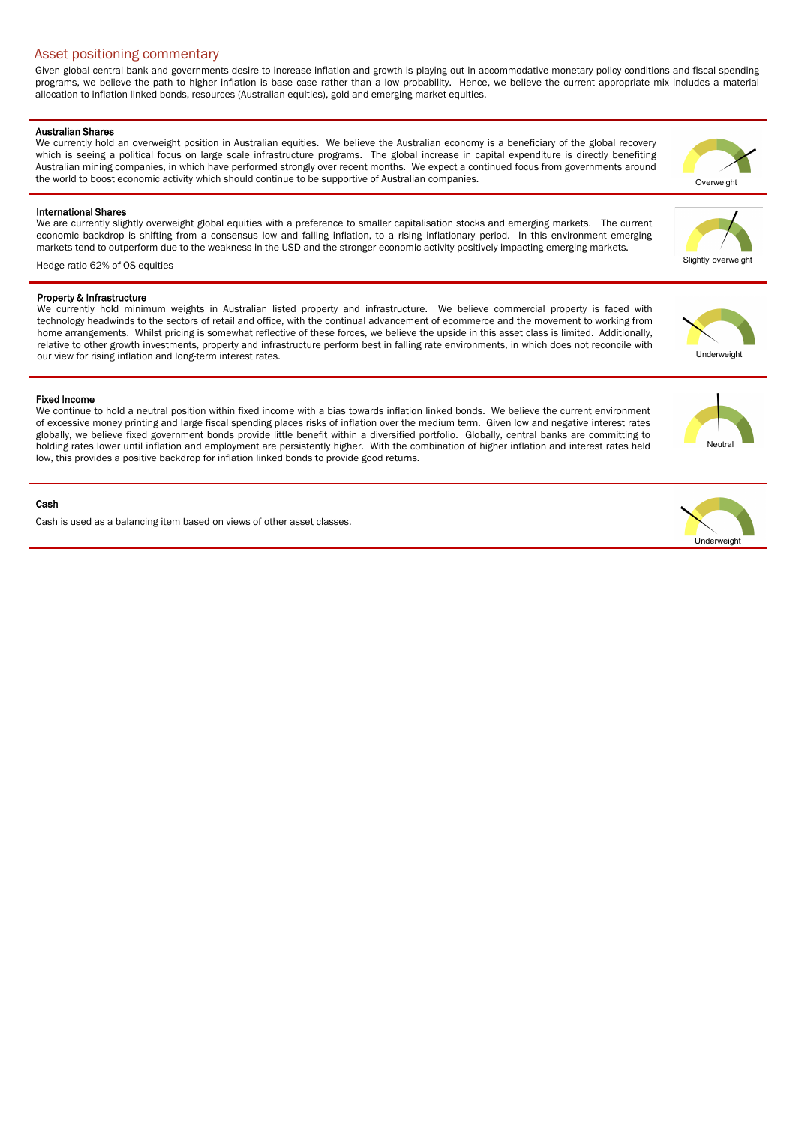# Asset positioning commentary

Given global central bank and governments desire to increase inflation and growth is playing out in accommodative monetary policy conditions and fiscal spending programs, we believe the path to higher inflation is base case rather than a low probability. Hence, we believe the current appropriate mix includes a material allocation to inflation linked bonds, resources (Australian equities), gold and emerging market equities.

#### Australian Shares

We currently hold an overweight position in Australian equities. We believe the Australian economy is a beneficiary of the global recovery which is seeing a political focus on large scale infrastructure programs. The global increase in capital expenditure is directly benefiting Australian mining companies, in which have performed strongly over recent months. We expect a continued focus from governments around the world to boost economic activity which should continue to be supportive of Australian companies.

## International Shares

We are currently slightly overweight global equities with a preference to smaller capitalisation stocks and emerging markets. The current economic backdrop is shifting from a consensus low and falling inflation, to a rising inflationary period. In this environment emerging markets tend to outperform due to the weakness in the USD and the stronger economic activity positively impacting emerging markets.

Hedge ratio 62% of OS equities

## Property & Infrastructure

We currently hold minimum weights in Australian listed property and infrastructure. We believe commercial property is faced with technology headwinds to the sectors of retail and office, with the continual advancement of ecommerce and the movement to working from home arrangements. Whilst pricing is somewhat reflective of these forces, we believe the upside in this asset class is limited. Additionally, relative to other growth investments, property and infrastructure perform best in falling rate environments, in which does not reconcile with our view for rising inflation and long-term interest rates.

## Fixed Income

We continue to hold a neutral position within fixed income with a bias towards inflation linked bonds. We believe the current environment of excessive money printing and large fiscal spending places risks of inflation over the medium term. Given low and negative interest rates globally, we believe fixed government bonds provide little benefit within a diversified portfolio. Globally, central banks are committing to holding rates lower until inflation and employment are persistently higher. With the combination of higher inflation and interest rates held low, this provides a positive backdrop for inflation linked bonds to provide good returns.

## Cash

Cash is used as a balancing item based on views of other asset classes.





Neutral